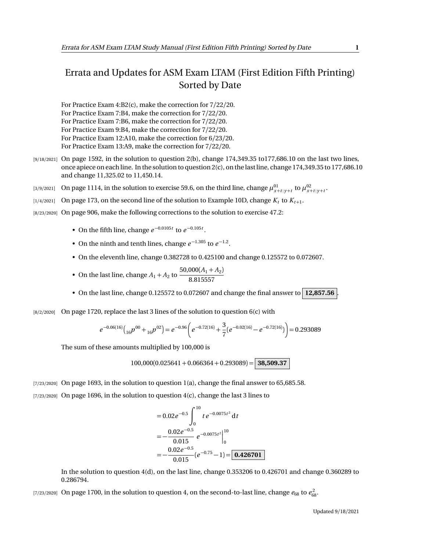## Errata and Updates for ASM Exam LTAM (First Edition Fifth Printing) Sorted by Date

For Practice Exam 4:B2(c), make the correction for 7/22/20. For Practice Exam 7:B4, make the correction for 7/22/20. For Practice Exam 7:B6, make the correction for 7/22/20. For Practice Exam 9:B4, make the correction for 7/22/20. For Practice Exam 12:A10, make the correction for 6/23/20. For Practice Exam 13:A9, make the correction for 7/22/20.

- [9/18/2021] On page 1592, in the solution to question 2(b), change 174,349.35 to177,686.10 on the last two lines, once apiece on each line. In the solution to question 2(c), on the last line, change 174,349.35 to 177,686.10 and change 11,325.02 to 11,450.14.
- [3/9/2021] On page 1114, in the solution to exercise 59.6, on the third line, change  $\mu_{x+t:y+t}^{01}$  to  $\mu_{x+t:y+t}^{02}$ .
- $\left[1/4/2021\right]$  On page 173, on the second line of the solution to Example 10D, change  $K_t$  to  $K_{t+1}$ .
- [8/23/2020] On page 906, make the following corrections to the solution to exercise 47.2:
	- On the fifth line, change  $e^{-0.0105t}$  to  $e^{-0.105t}$ .
	- On the ninth and tenth lines, change  $e^{-1.305}$  to  $e^{-1.2}$ .
	- On the eleventh line, change 0.382728 to 0.425100 and change 0.125572 to 0.072607.

• On the last line, change 
$$
A_1 + A_2
$$
 to  $\frac{50,000(A_1 + A_2)}{8.815557}$ 

- On the last line, change 0.125572 to 0.072607 and change the final answer to **12,857.56** .
- $[8/2/2020]$  On page 1720, replace the last 3 lines of the solution to question 6(c) with

$$
e^{-0.06(16)}\left({_{16}}p^{00}+{}_{16}p^{02}\right)=e^{-0.96}\left(e^{-0.72(16)}+\frac{3}{7}(e^{-0.02(16)}-e^{-0.72(16)})\right)=0.293089
$$

The sum of these amounts multiplied by 100,000 is

$$
100,000(0.025641+0.066364+0.293089) = 38,509.37
$$

[7/23/2020] On page 1693, in the solution to question 1(a), change the final answer to 65,685.58.  $[7/23/2020]$  On page 1696, in the solution to question  $4(c)$ , change the last 3 lines to

$$
= 0.02e^{-0.5}\int_0^{10} te^{-0.0075t^2} dt
$$
  
=  $-\frac{0.02e^{-0.5}}{0.015}e^{-0.0075t^2}\Big|_0^{10}$   
=  $-\frac{0.02e^{-0.5}}{0.015}(e^{-0.75}-1)=$  0.426701

In the solution to question 4(d), on the last line, change 0.353206 to 0.426701 and change 0.360289 to 0.286794.

[7/23/2020] On page 1700, in the solution to question 4, on the second-to-last line, change  $e_{68}$  to  $e_{68}^2$ .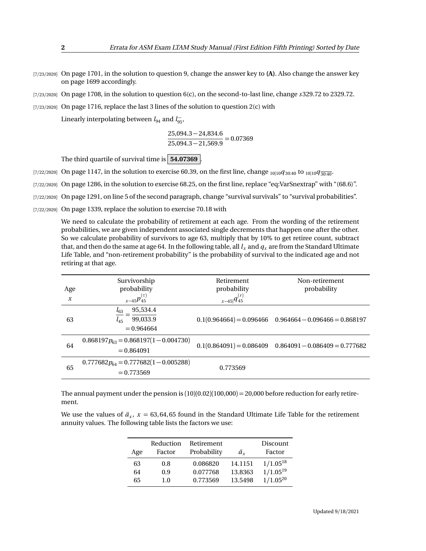- [7/23/2020] On page 1701, in the solution to question 9, change the answer key to **(A)**. Also change the answer key on page 1699 accordingly.
- [7/23/2020] On page 1708, in the solution to question 6(c), on the second-to-last line, change *s* 329.72 to 2329.72.
- [7/23/2020] On page 1716, replace the last 3 lines of the solution to question 2(c) with

Linearly interpolating between  $l_{94}$  and  $l_{95}^-$ ,

$$
\frac{25,094.3 - 24,834.6}{25,094.3 - 21,569.9} = 0.07369
$$

The third quartile of survival time is **54.07369** .

- [7/22/2020] On page 1147, in the solution to exercise 60.39, on the first line, change <sub>10|10</sub> $q_{30:40}$  to <sub>10|10</sub> $q_{30:40}$ .
- [7/22/2020] On page 1286, in the solution to exercise 68.25, on the first line, replace "eq:VarSnextrap" with "(68.6)".
- [7/22/2020] On page 1291, on line 5 of the second paragraph, change "survival survivals" to "survival probabilities".
- [7/22/2020] On page 1339, replace the solution to exercise 70.18 with

We need to calculate the probability of retirement at each age. From the wording of the retirement probabilities, we are given independent associated single decrements that happen one after the other. So we calculate probability of survivors to age 63, multiply that by 10% to get retiree count, subtract that, and then do the same at age 64. In the following table, all  $l_x$  and  $q_x$  are from the Standard Ultimate Life Table, and "non-retirement probability" is the probability of survival to the indicated age and not retiring at that age.

| Age                        | Survivorship<br>probability                                  | Retirement<br>probability | Non-retirement<br>probability                               |
|----------------------------|--------------------------------------------------------------|---------------------------|-------------------------------------------------------------|
| $\boldsymbol{\mathcal{X}}$ | $x_{-45}p_{45}^{(\tau)}$                                     | $x-45 q_{45}^{(r)}$       |                                                             |
| 63                         | 95,534.4<br>$l_{63}$<br>99,033.9<br>$l_{45}$<br>$= 0.964664$ |                           | $0.1(0.964664) = 0.096466$ $0.964664 - 0.096466 = 0.868197$ |
| 64                         | $0.868197p_{63} = 0.868197(1 - 0.004730)$<br>$= 0.864091$    |                           | $0.1(0.864091) = 0.086409$ $0.864091 - 0.086409 = 0.777682$ |
| 65                         | $0.777682p_{64} = 0.777682(1 - 0.005288)$<br>$= 0.773569$    | 0.773569                  |                                                             |

The annual payment under the pension is  $(10)(0.02)(100,000) = 20,000$  before reduction for early retirement.

We use the values of  $\ddot{a}_x$ ,  $x = 63,64,65$  found in the Standard Ultimate Life Table for the retirement annuity values. The following table lists the factors we use:

| Age | Reduction<br>Factor | Retirement<br>Probability | ä.      | Discount<br>Factor |
|-----|---------------------|---------------------------|---------|--------------------|
| 63  | 0.8                 | 0.086820                  | 14.1151 | $1/1.05^{18}$      |
| 64  | 0.9                 | 0.077768                  | 13.8363 | $1/1.05^{19}$      |
| 65  | 1.0                 | 0.773569                  | 13.5498 | $1/1.05^{20}$      |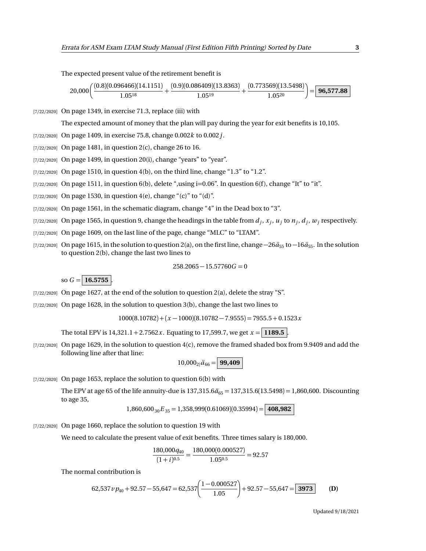The expected present value of the retirement benefit is

 $20,000 \Big( \frac{(0.8)(0.096466)(14.1151)}{1.0519}$  $\frac{(6466)(14.1151)}{1.05^{18}} + \frac{(0.9)(0.086409)(13.8363)}{1.05^{19}}$  $\frac{(6409)(13.8363)}{1.05^{19}} + \frac{(0.773569)(13.5498)}{1.05^{20}} = 96,577.88$ 

[7/22/2020] On page 1349, in exercise 71.3, replace (iii) with

The expected amount of money that the plan will pay during the year for exit benefits is 10,105.

[7/22/2020] On page 1409, in exercise 75.8, change 0.002*k* to 0.002*j*.

[7/22/2020] On page 1481, in question 2(c), change 26 to 16.

 $[7/22/2020]$  On page 1499, in question 20(i), change "years" to "year".

[7/22/2020] On page 1510, in question 4(b), on the third line, change "1.3" to "1.2".

 $[7/22/2020]$  On page 1511, in question 6(b), delete ",using i=0.06". In question 6(f), change "It" to "it".

 $[7/22/2020]$  On page 1530, in question 4(e), change "(c)" to "(d)".

 $[7/22/2020]$  On page 1561, in the schematic diagram, change "4" in the Dead box to "3".

- $_{[7/22/2020]}$  On page 1565, in question 9, change the headings in the table from  $d_j, x_j, u_j$  to  $n_j, d_j, w_j$  respectively.
- [7/22/2020] On page 1609, on the last line of the page, change "MLC" to "LTAM".
- [7/22/2020] On page 1615, in the solution to question 2(a), on the first line, change  $-26\ddot{a}_{55}$  to  $-16\ddot{a}_{55}$ . In the solution to question 2(b), change the last two lines to

 $258.2065 - 15.57760G = 0$ 

so  $G = 16.5755$ 

- [7/22/2020] On page 1627, at the end of the solution to question 2(a), delete the stray "S".
- $[7/22/2020]$  On page 1628, in the solution to question 3(b), change the last two lines to

 $1000(8.10782) + (x - 1000)(8.10782 - 7.9555) = 7955.5 + 0.1523x$ 

The total EPV is  $14,321.1 + 2.7562x$ . Equating to 17,599.7, we get  $x = 1189.5$ .

[7/22/2020] On page 1629, in the solution to question 4(c), remove the framed shaded box from 9.9409 and add the following line after that line:

$$
10,000_{2}|\ddot{a}_{66}=\boxed{99,409}
$$

[7/22/2020] On page 1653, replace the solution to question 6(b) with

The EPV at age 65 of the life annuity-due is  $137,315.6\ddot{a}_{65} = 137,315.6(13.5498) = 1,860,600$ . Discounting to age 35,

$$
1,860,600_{30}E_{35} = 1,358,999(0.61069)(0.35994) = |408,982|
$$

[7/22/2020] On page 1660, replace the solution to question 19 with

We need to calculate the present value of exit benefits. Three times salary is 180,000.

$$
\frac{180,000q_{40}}{(1+i)^{0.5}} = \frac{180,000(0.000527)}{1.05^{0.5}} = 92.57
$$

The normal contribution is

62,537 
$$
v p_{40}
$$
 + 92.57 - 55,647 = 62,537  $\bigg( \frac{1 - 0.000527}{1.05} \bigg)$  + 92.57 - 55,647 = 3973 (D)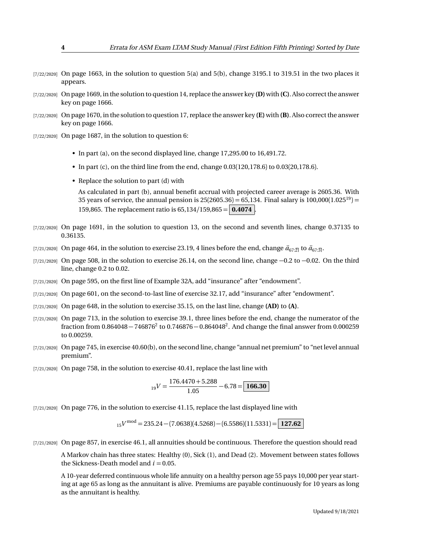- $[7/22/2020]$  On page 1663, in the solution to question 5(a) and 5(b), change 3195.1 to 319.51 in the two places it appears.
- [7/22/2020] On page 1669, in the solution to question 14, replace the answer key **(D)**with **(C)**. Also correct the answer key on page 1666.
- [7/22/2020] On page 1670, in the solution to question 17, replace the answer key **(E)** with **(B)**. Also correct the answer key on page 1666.
- $[7/22/2020]$  On page 1687, in the solution to question 6:
	- In part (a), on the second displayed line, change 17,295.00 to 16,491.72.
	- In part (c), on the third line from the end, change  $0.03(120,178.6)$  to  $0.03(20,178.6)$ .
	- Replace the solution to part (d) with

As calculated in part (b), annual benefit accrual with projected career average is 2605.36. With 35 years of service, the annual pension is  $25(2605.36) = 65,134$ . Final salary is  $100,000(1.025^{19}) =$ 159,865. The replacement ratio is 65,134*/*159,865 = **0.4074** .

- [7/22/2020] On page 1691, in the solution to question 13, on the second and seventh lines, change 0.37135 to 0.36135.
- [7/21/2020] On page 464, in the solution to exercise 23.19, 4 lines before the end, change  $\ddot{a}_{67:2}$  to  $\ddot{a}_{67:3}$ .
- [ $7/21/2020$ ] On page 508, in the solution to exercise 26.14, on the second line, change  $-0.2$  to  $-0.02$ . On the third line, change 0.2 to 0.02.
- [7/21/2020] On page 595, on the first line of Example 32A, add "insurance" after "endowment".
- [7/21/2020] On page 601, on the second-to-last line of exercise 32.17, add "insurance" after "endowment".
- [7/21/2020] On page 648, in the solution to exercise 35.15, on the last line, change **(AD)** to **(A)**.
- $[7/21/2020]$  On page 713, in the solution to exercise 39.1, three lines before the end, change the numerator of the fraction from  $0.864048 - 746876^2$  to  $0.746876 - 0.864048^2$ . And change the final answer from  $0.000259$ to 0.00259.
- [7/21/2020] On page 745, in exercise 40.60(b), on the second line, change "annual net premium" to "net level annual premium".
- $[7/21/2020]$  On page 758, in the solution to exercise 40.41, replace the last line with

$$
_{19}V = \frac{176.4470 + 5.288}{1.05} - 6.78 = \boxed{166.30}
$$

[7/21/2020] On page 776, in the solution to exercise 41.15, replace the last displayed line with

<sup>15</sup>*V* mod = 235.24 − (7.0638)(4.5268) − (6.5586)(11.5331) = **127.62**

[7/21/2020] On page 857, in exercise 46.1, all annuities should be continuous. Therefore the question should read

A Markov chain has three states: Healthy (0), Sick (1), and Dead (2). Movement between states follows the Sickness-Death model and  $i = 0.05$ .

A 10-year deferred continuous whole life annuity on a healthy person age 55 pays 10,000 per year starting at age 65 as long as the annuitant is alive. Premiums are payable continuously for 10 years as long as the annuitant is healthy.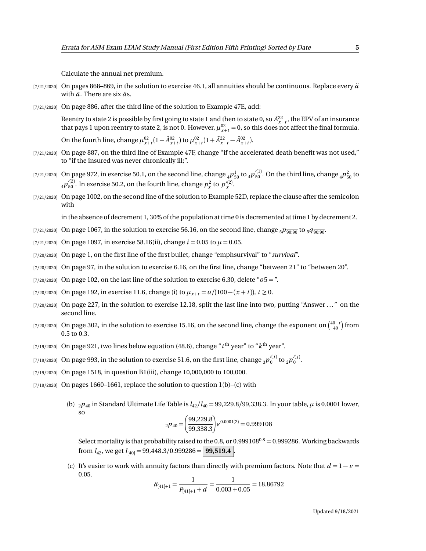Calculate the annual net premium.

- $[7/21/2020]$  On pages 868–869, in the solution to exercise 46.1, all annuities should be continuous. Replace every  $\ddot{a}$ with  $\bar{a}$ . There are six  $\ddot{a}$ s.
- [7/21/2020] On page 886, after the third line of the solution to Example 47E, add:

Reentry to state 2 is possible by first going to state 1 and then to state 0, so  $\bar{A}^{22}_{x+t}$ , the EPV of an insurance that pays 1 upon reentry to state 2, is not 0. However,  $\mu_{x+t}^{02} = 0$ , so this does not affect the final formula.

On the fourth line, change  $\mu_{x+t}^{02} (1 - \bar{A}_{x+t}^{02})$  to  $\mu_{x+t}^{02} (1 + \bar{A}_{x+t}^{22} - \bar{A}_{x+t}^{02})$ .

- [7/21/2020] On page 887, on the third line of Example 47F, change "if the accelerated death benefit was not used," to "if the insured was never chronically ill;".
- [7/21/2020] On page 972, in exercise 50.1, on the second line, change  $_4p_{50}^1$  to  $_4p_{50}^{\prime(1)}$ . On the third line, change  $_4p_{50}^2$  to  $_4p_{50}^{\prime(2)}$ . In exercise 50.2, on the fourth line, change  $p_x^2$  to  $p_x^{\prime(2)}$ .
- [7/21/2020] On page 1002, on the second line of the solution to Example 52D, replace the clause after the semicolon with

in the absence of decrement 1, 30% of the population at time 0 is decremented at time 1 by decrement 2.

- [7/21/2020] On page 1067, in the solution to exercise 56.16, on the second line, change  $_5p_{\overline{90:90}}$  to  $_5q_{\overline{90:90}}$ .
- [7/21/2020] On page 1097, in exercise 58.16(ii), change  $i = 0.05$  to  $\mu = 0.05$ .
- [7/20/2020] On page 1, on the first line of the first bullet, change "emphsurvival" to "*survival*".
- [7/20/2020] On page 97, in the solution to exercise 6.16, on the first line, change "between 21" to "between 20".
- $[7/20/2020]$  On page 102, on the last line of the solution to exercise 6.30, delete " $\sigma$ 5 = ".
- [7/20/2020] On page 192, in exercise 11.6, change (i) to  $\mu_{x+t} = \alpha/(100 (x + t))$ ,  $t ≥ 0$ .
- [7/20/2020] On page 227, in the solution to exercise 12.18, split the last line into two, putting "Answer ..." on the second line.
- [7/20/2020] On page 302, in the solution to exercise 15.16, on the second line, change the exponent on  $\left(\frac{40-t}{40}\right)$  from 0.5 to 0.3.
- $_{\rm [7/19/2020]}$  On page 921, two lines below equation (48.6), change " $t^{\rm th}$  year" to " $k^{\rm th}$  year".
- [7/19/2020] On page 993, in the solution to exercise 51.6, on the first line, change  $_3p_0^{\prime(j)}$  to  $_2p_0^{\prime(j)}$ .
- [7/19/2020] On page 1518, in question B1(iii), change 10,000,000 to 100,000.
- [7/19/2020] On pages 1660–1661, replace the solution to question 1(b)–(c) with
	- (b)  $_2p_{40}$  in Standard Ultimate Life Table is  $l_{42}/l_{40} = 99,229.8/99,338.3$ . In your table,  $\mu$  is 0.0001 lower, so

$$
{}_{2}p_{40} = \left(\frac{99,229.8}{99,338.3}\right) e^{0.0001(2)} = 0.999108
$$

Select mortality is that probability raised to the 0.8, or 0.999108<sup>0.8</sup> = 0.999286. Working backwards from  $l_{42}$ , we get  $l_{[40]} = 99,448.3/0.999286 =$  **99,519.4** 

(c) It's easier to work with annuity factors than directly with premium factors. Note that  $d = 1 - v =$ 0.05.

$$
\ddot{a}_{[41]+1} = \frac{1}{P_{[41]+1} + d} = \frac{1}{0.003 + 0.05} = 18.86792
$$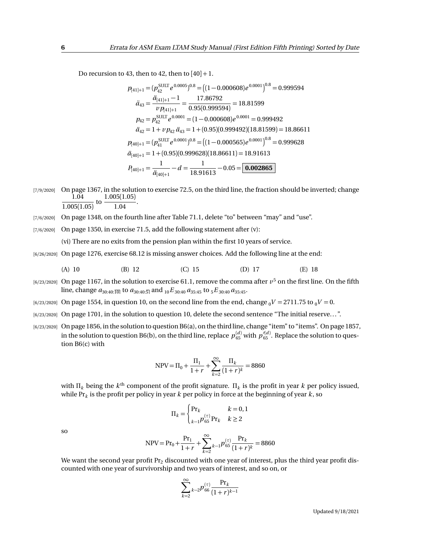Do recursion to 43, then to 42, then to  $[40]+1$ .

$$
p_{[41]+1} = (p_{42}^{\text{SULT}} e^{0.0005})^{0.8} = ((1 - 0.000608)e^{0.0001})^{0.8} = 0.999594
$$
  
\n
$$
\ddot{a}_{43} = \frac{\ddot{a}_{[41]+1} - 1}{v p_{[41]+1}} = \frac{17.86792}{0.95(0.999594)} = 18.81599
$$
  
\n
$$
p_{42} = p_{42}^{\text{SULT}} e^{0.0001} = (1 - 0.000608)e^{0.0001} = 0.999492
$$
  
\n
$$
\ddot{a}_{42} = 1 + v p_{42} \, \ddot{a}_{43} = 1 + (0.95)(0.999492)(18.81599) = 18.86611
$$
  
\n
$$
p_{[40]+1} = (p_{41}^{\text{SULT}} e^{0.0001})^{0.8} = ((1 - 0.000565)e^{0.0001})^{0.8} = 0.999628
$$
  
\n
$$
\ddot{a}_{[40]+1} = 1 + (0.95)(0.999628)(18.86611) = 18.91613
$$
  
\n
$$
P_{[40]+1} = \frac{1}{\ddot{a}_{[40]+1}} - d = \frac{1}{18.91613} - 0.05 = \boxed{0.002865}
$$

[7/9/2020] On page 1367, in the solution to exercise 72.5, on the third line, the fraction should be inverted; change 1.04  $\frac{1.04}{1.005(1.05)}$  to  $\frac{1.005(1.05)}{1.04}$  $\frac{1.04}{1.04}$ .

- [7/6/2020] On page 1348, on the fourth line after Table 71.1, delete "to" between "may" and "use".
- [7/6/2020] On page 1350, in exercise 71.5, add the following statement after (v):

(vi) There are no exits from the pension plan within the first 10 years of service.

[6/26/2020] On page 1276, exercise 68.12 is missing answer choices. Add the following line at the end:

(A) 10 (B) 12 (C) 15 (D) 17 (E) 18

- $_{[6/23/2020]}$  On page 1167, in the solution to exercise 61.1, remove the comma after  $v^5$  on the first line. On the fifth line, change  $a_{30:40:\overline{10|}}$  to  $a_{30:40:\overline{5|}}$  and  $_{10}E_{30:40}a_{35:45}$  to  $_{5}E_{30:40}a_{35:45}$ .
- $[6/23/2020]$  On page 1554, in question 10, on the second line from the end, change  $_0V = 2711.75$  to  $_0V = 0$ .
- [6/23/2020] On page 1701, in the solution to question 10, delete the second sentence "The initial reserve. . . ".
- [6/23/2020] On page 1856, in the solution to question B6(a), on the third line, change "item" to "items". On page 1857, in the solution to question B6(b), on the third line, replace  $p_{65}^{(d)}$  with  $p_{65}^{\prime(d)}$ . Replace the solution to question B6(c) with

$$
NPV = \Pi_0 + \frac{\Pi_1}{1+r} + \sum_{k=2}^{\infty} \frac{\Pi_k}{(1+r)^k} = 8860
$$

with  $\Pi_k$  being the  $k^\text{th}$  component of the profit signature.  $\Pi_k$  is the profit in year  $k$  per policy issued, while Pr*<sup>k</sup>* is the profit per policy in year *k* per policy in force at the beginning of year *k*, so

$$
\Pi_{k} = \begin{cases} \Pr_{k} & k = 0, 1\\ \sum_{k=1}^{(\tau)} p_{65}^{(\tau)} \Pr_{k} & k \ge 2 \end{cases}
$$

so

NPV = Pr<sub>0</sub> + 
$$
\frac{Pr_1}{1+r}
$$
 +  $\sum_{k=2}^{\infty} k-1 p_{65}^{(\tau)} \frac{Pr_k}{(1+r)^k}$  = 8860

We want the second year profit  $Pr<sub>2</sub>$  discounted with one year of interest, plus the third year profit discounted with one year of survivorship and two years of interest, and so on, or

$$
\sum_{k=2}^{\infty} {}_{k-2}p_{66}^{(\tau)} \frac{\text{Pr}_k}{(1+r)^{k-1}}
$$

Updated 9/18/2021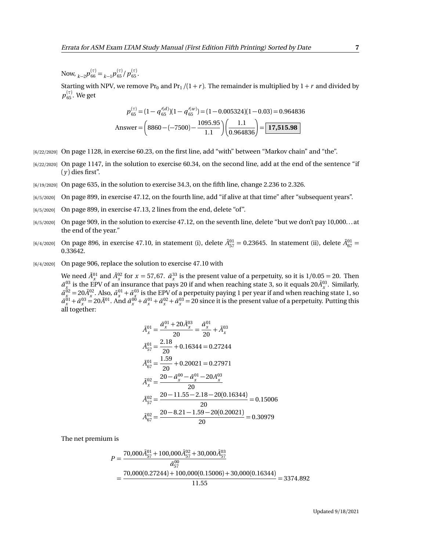Now,  $_{k=2}p_{66}^{(\tau)} = {_{k=1}p_{65}^{(\tau)}}/p_{65}^{(\tau)}.$ 

Starting with NPV, we remove Pr<sub>0</sub> and Pr<sub>1</sub> /(1 + *r*). The remainder is multiplied by 1 + *r* and divided by  $p_{65}^{(\tau)}.$  We get

$$
p_{65}^{(\tau)} = (1 - q_{65}^{\prime (d)}) (1 - q_{65}^{\prime (w)}) = (1 - 0.005324)(1 - 0.03) = 0.964836
$$
  
Answer =  $\left( 8860 - (-7500) - \frac{1095.95}{1.1} \right) \left( \frac{1.1}{0.964836} \right) = \boxed{17,515.98}$ 

[6/22/2020] On page 1128, in exercise 60.23, on the first line, add "with" between "Markov chain" and "the".

- [6/22/2020] On page 1147, in the solution to exercise 60.34, on the second line, add at the end of the sentence "if  $(y)$  dies first".
- [6/19/2020] On page 635, in the solution to exercise 34.3, on the fifth line, change 2.236 to 2.326.
- [6/5/2020] On page 899, in exercise 47.12, on the fourth line, add "if alive at that time" after "subsequent years".
- [6/5/2020] On page 899, in exercise 47.13, 2 lines from the end, delete "of".
- [6/5/2020] On page 909, in the solution to exercise 47.12, on the seventh line, delete "but we don't pay 10,000...at the end of the year."
- $_{[6/4/2020]}$  On page 896, in exercise 47.10, in statement (i), delete  $\bar{A}_{57}^{01} = 0.23645$ . In statement (ii), delete  $\bar{A}_{67}^{01} =$ 0.33642.
- [6/4/2020] On page 906, replace the solution to exercise 47.10 with

We need  $\bar{A}^{01}_x$  and  $\bar{A}^{02}_x$  for  $x = 57,67$ .  $\bar{a}^{33}_x$  is the present value of a perpetuity, so it is  $1/0.05 = 20$ . Then  $\bar{a}^{03}_{x_0}$  is the EPV of an insurance that pays 20 if and when reaching state 3, so it equals 20 $\bar{A}^{03}_{x}$ . Similarly,  $\bar{a}^{\bar{0}2}_{x} = 20 \bar{A}^{02}_{x}$ . Also,  $\bar{a}^{01}_{x} + \bar{a}^{03}_{x}$  is the EPV of a perpetuity paying 1 per year if and when reaching state 1, so  $\bar{a}^{01}_x + \bar{a}^{03}_x = 20 \bar{A}^{01}$ . And  $\bar{a}^{00}_x + \bar{a}^{01}_x + \bar{a}^{02}_x + \bar{a}^{03}_x = 20$  since it is the present value of a perpetuity. Putting this all together:

$$
\bar{A}^{01}_{x} = \frac{\bar{a}^{01}_{x} + 20\bar{A}^{03}_{x}}{20} = \frac{\bar{a}^{01}_{x}}{20} + \bar{A}^{03}_{x}
$$
\n
$$
\bar{A}^{01}_{57} = \frac{2.18}{20} + 0.16344 = 0.27244
$$
\n
$$
\bar{A}^{01}_{67} = \frac{1.59}{20} + 0.20021 = 0.27971
$$
\n
$$
\bar{A}^{02}_{x} = \frac{20 - \bar{a}^{00}_{x} - \bar{a}^{01}_{x} - 20A^{03}_{x}}{20}
$$
\n
$$
\bar{A}^{02}_{57} = \frac{20 - 11.55 - 2.18 - 20(0.16344)}{20} = 0.15006
$$
\n
$$
\bar{A}^{02}_{67} = \frac{20 - 8.21 - 1.59 - 20(0.20021)}{20} = 0.30979
$$

The net premium is

$$
P = \frac{70,000\overline{A}_{57}^{01} + 100,000\overline{A}_{57}^{02} + 30,000\overline{A}_{57}^{03}}{\overline{a}_{57}^{00}} = \frac{70,000(0.27244) + 100,000(0.15006) + 30,000(0.16344)}{11.55} = 3374.892
$$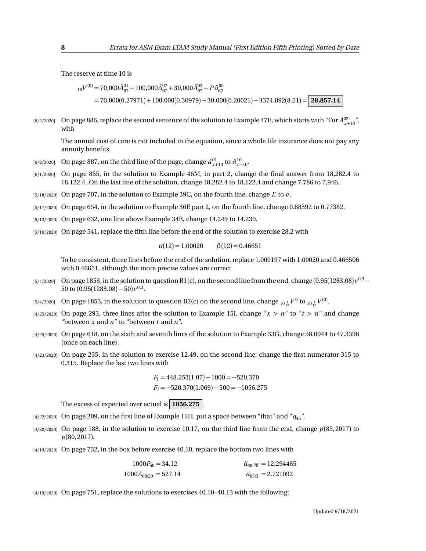The reserve at time 10 is

$$
{}_{10}V^{(0)} = 70,000\bar{A}_{67}^{01} + 100,000\bar{A}_{67}^{02} + 30,000\bar{A}_{67}^{03} - P\ddot{a}_{67}^{00}
$$
  
= 70,000(0.27971) + 100,000(0.30979) + 30,000(0.20021) - 3374.892(8.21) = 28,857.14

[6/2/2020] On page 886, replace the second sentence of the solution to Example 47E, which starts with "For  $\bar{A}^{02}_{x+10}$ ", with

The annual cost of care is not included in the equation, since a whole life insurance does not pay any annuity benefits.

- $\bar{a}^{(6/2/2020)}$  On page 887, on the third line of the page, change  $\bar{a}^{01}_{x+10}$  to  $\bar{a}^{10}_{x+10}$ .
- [6/1/2020] On page 855, in the solution to Example 46M, in part 2, change the final answer from 18,282.4 to 18,122.4. On the last line of the solution, change 18,282.4 to 18,122.4 and change 7,786 to 7,946.
- [5/18/2020] On page 707, in the solution to Example 39C, on the fourth line, change *E* to *e* .
- [5/17/2020] On page 654, in the solution to Example 36E part 2, on the fourth line, change 0.88392 to 0.77382.
- [5/13/2020] On page 632, one line above Example 34B, change 14.249 to 14.239.
- [5/10/2020] On page 541, replace the fifth line before the end of the solution to exercise 28.2 with

 $\alpha(12) = 1.00020$   $\beta(12) = 0.46651$ 

To be consistent, three lines before the end of the solution, replace 1.000197 with 1.00020 and 0.466506 with 0.46651, although the more precise values are correct.

- $_{[5/4/2020]}$  On page 1853, in the solution to question B1(c), on the second line from the end, change  $(0.95(1283.08)\nu^{0.3}-1)$ 50 to  $(0.95(1283.08)-50)v^{0.3}$ .
- $_{[5/4/2020]}$   $\,$  On page 1853, in the solution to question B2(c) on the second line, change  $_{10\frac{1}{12}}V^0$  to  $_{10\frac{1}{12}}V^{(0)}.$
- $[4/25/2020]$  On page 293, three lines after the solution to Example 15J, change " $x > n$ " to " $t > n$ " and change "between *x* and *n*" to "between *t* and *n*".
- [4/25/2020] On page 618, on the sixth and seventh lines of the solution to Example 33G, change 58.0944 to 47.3396 (once on each line).
- [4/23/2020] On page 235, in the solution to exercise 12.49, on the second line, change the first numerator 315 to 0.315. Replace the last two lines with

 $F_1 = 448.253(1.07) - 1000 = -520.370$  $F_2 = -520.370(1.069) - 500 = -1056.275$ 

The excess of expected over actual is **1056.275** .

- [4/22/2020] On page 209, on the first line of Example 12H, put a space between "that" and "*q*45".
- [4/20/2020] On page 188, in the solution to exercise 10.17, on the third line from the end, change *p*(85, 2017) to *p*(80, 2017).
- [4/19/2020] On page 732, in the box before exercise 40.10, replace the bottom two lines with

| $1000P_{68} = 34.12$     | $\ddot{a}_{68:20} = 12.294465$ |
|--------------------------|--------------------------------|
| $1000A_{68:20} = 527.14$ | $\ddot{a}_{85:3} = 2.721092$   |

[4/19/2020] On page 751, replace the solutions to exercises 40.10–40.13 with the following: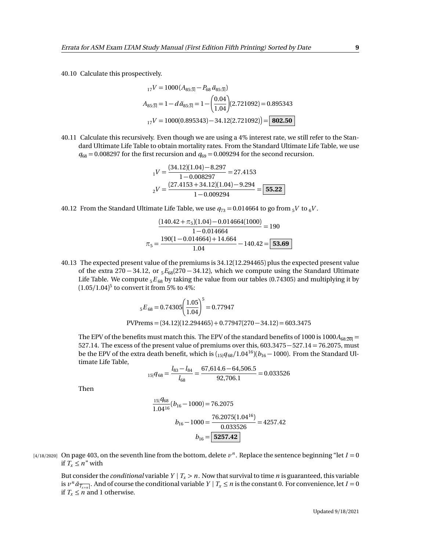40.10 Calculate this prospectively.

$$
{}_{17}V = 1000 (A_{85:3} - P_{68} \ddot{a}_{85:3})
$$
  
\n
$$
A_{85:3} = 1 - d \ddot{a}_{85:3} = 1 - \left(\frac{0.04}{1.04}\right) (2.721092) = 0.895343
$$
  
\n
$$
{}_{17}V = 1000(0.895343) - 34.12(2.721092)\left) = \boxed{\textbf{802.50}}
$$

40.11 Calculate this recursively. Even though we are using a 4% interest rate, we still refer to the Standard Ultimate Life Table to obtain mortality rates. From the Standard Ultimate Life Table, we use  $q_{68} = 0.008297$  for the first recursion and  $q_{69} = 0.009294$  for the second recursion.

$$
_1V = \frac{(34.12)(1.04) - 8.297}{1 - 0.008297} = 27.4153
$$

$$
_2V = \frac{(27.4153 + 34.12)(1.04) - 9.294}{1 - 0.009294} = \boxed{55.22}
$$

40.12 From the Standard Ultimate Life Table, we use  $q_{73} = 0.014664$  to go from  $5V$  to  $6V$ .

$$
\frac{(140.42 + \pi_5)(1.04) - 0.014664(1000)}{1 - 0.014664} = 190
$$

$$
\pi_5 = \frac{190(1 - 0.014664) + 14.664}{1.04} - 140.42 = 53.69
$$

40.13 The expected present value of the premiums is 34.12(12.294465) plus the expected present value of the extra 270 − 34.12, or <sup>5</sup>*E*68(270 − 34.12), which we compute using the Standard Ultimate Life Table. We compute  ${}_5E_{68}$  by taking the value from our tables (0.74305) and multiplying it by (1.05*/*1.04) 5 to convert it from 5% to 4%:

$$
{}_{5}E_{68} = 0.74305 \left(\frac{1.05}{1.04}\right)^{5} = 0.77947
$$
  
PVPrems = (34.12)(12.294465) + 0.77947(270 - 34.12) = 603.3475

The EPV of the benefits must match this. The EPV of the standard benefits of 1000 is 1000 $A_{68:20}$  = 527.14. The excess of the present value of premiums over this, 603.3475−527.14 = 76.2075, must be the EPV of the extra death benefit, which is  $\left(15|q_{68}/1.04^{16}\right)\left(b_{16}-1000\right)$ . From the Standard Ultimate Life Table,

$$
{}_{15|}q_{68} = \frac{l_{83} - l_{84}}{l_{68}} = \frac{67,614.6 - 64,506.5}{92,706.1} = 0.033526
$$

Then

$$
\frac{15|q_{68}}{1.04^{16}}(b_{16} - 1000) = 76.2075
$$
  

$$
b_{16} - 1000 = \frac{76.2075(1.04^{16})}{0.033526} = 4257.42
$$
  

$$
b_{16} = \boxed{5257.42}
$$

 $(4/18/2020]$  On page 403, on the seventh line from the bottom, delete  $v^n$ . Replace the sentence beginning "let  $I = 0$ if  $T_x \leq n''$  with

But consider the *conditional* variable  $Y | T_x > n$ . Now that survival to time *n* is guaranteed, this variable is  $v^n \bar{a}_{\overline{T_{x+n}}}$ . And of course the conditional variable  $Y | T_x \le n$  is the constant 0. For convenience, let  $I = 0$ if  $T_x \leq n$  and 1 otherwise.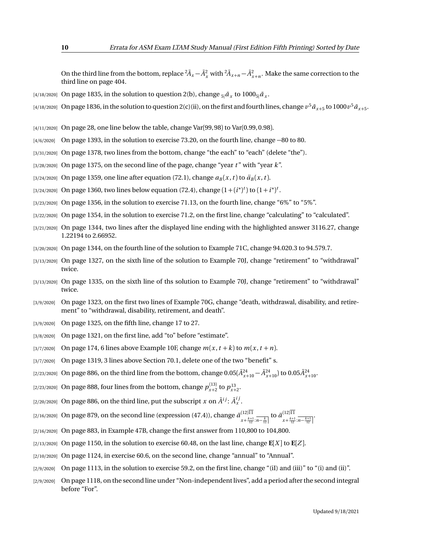On the third line from the bottom, replace  ${}^2\bar{A}_x - \bar{A}_x^2$  with  ${}^2\bar{A}_{x+n} - \bar{A}_{x+n}^2$ . Make the same correction to the third line on page 404.

- $_{[4/18/2020]}$  On page 1835, in the solution to question 2(b), change  $_{5|}\bar{a}_{x}$  to 1000 $_{5|}\bar{a}_{x}.$
- $_{[4/18/2020]}$  On page 1836, in the solution to question 2(c)(ii), on the first and fourth lines, change  $v^5\bar a_{x+5}$  to  $1000v^5\bar a_{x+5}$ .
- [4/11/2020] On page 28, one line below the table, change Var(99, 98) to Var(0.99, 0.98).
- [4/6/2020] On page 1393, in the solution to exercise 73.20, on the fourth line, change −80 to 80.
- [3/31/2020] On page 1378, two lines from the bottom, change "the each" to "each" (delete "the").
- [3/28/2020] On page 1375, on the second line of the page, change "year *t* " with "year *k*".
- [3/24/2020] On page 1359, one line after equation (72.1), change  $a_B(x, t)$  to  $\ddot{a}_B(x, t)$ .
- [3/24/2020] On page 1360, two lines below equation (72.4), change  $(1 + (i^*)^t)$  to  $(1 + i^*)^t$ .
- [3/23/2020] On page 1356, in the solution to exercise 71.13, on the fourth line, change "6%" to "5%".
- [3/22/2020] On page 1354, in the solution to exercise 71.2, on the first line, change "calculating" to "calculated".
- [3/21/2020] On page 1344, two lines after the displayed line ending with the highlighted answer 3116.27, change 1.22194 to 2.66952.
- [3/20/2020] On page 1344, on the fourth line of the solution to Example 71C, change 94.020.3 to 94.579.7.
- [3/13/2020] On page 1327, on the sixth line of the solution to Example 70J, change "retirement" to "withdrawal" twice.
- [3/13/2020] On page 1335, on the sixth line of ths solution to Example 70J, change "retirement" to "withdrawal" twice.
- [3/9/2020] On page 1323, on the first two lines of Example 70G, change "death, withdrawal, disability, and retirement" to "withdrawal, disability, retirement, and death".
- [3/9/2020] On page 1325, on the fifth line, change 17 to 27.
- [3/8/2020] On page 1321, on the first line, add "to" before "estimate".
- [3/7/2020] On page 174, 6 lines above Example 10F, change  $m(x, t + k)$  to  $m(x, t + n)$ .
- [3/7/2020] On page 1319, 3 lines above Section 70.1, delete one of the two "benefit" s.
- $(2/23/2020]$  On page 886, on the third line from the bottom, change  $0.05(\bar{A}^{24}_{x+10}-\bar{A}^{24}_{x+10})$  to  $0.05\bar{A}^{24}_{x+10}$ .
- [2/23/2020] On page 888, four lines from the bottom, change  $p_{x+2}^{(13)}$  to  $p_{x+2}^{13}$ .
- [2/20/2020] On page 886, on the third line, put the subscript  $x$  on  $\tilde{A}^{ij}$ :  $\tilde{A}^{ij}_x$  .
- [2/16/2020] On page 879, on the second line (expression (47.4)), change *a*¨ (12)11  $\frac{(12)11}{x + \frac{k+1}{12} \cdot n - \frac{k}{12}}$  to  $\frac{\ddot{a}^{(12)11}}{x + \frac{k+1}{12}}$  $\left(x+\frac{k+1}{12}:\overline{n-\frac{k+1}{12}}\right)$
- [2/16/2020] On page 883, in Example 47B, change the first answer from 110,800 to 104,800.
- [2/13/2020] On page 1150, in the solution to exercise 60.48, on the last line, change **E**[*X* ] to **E**[*Z* ].
- [2/10/2020] On page 1124, in exercise 60.6, on the second line, change "annual" to "Annual".
- $[2/9/2020]$  On page 1113, in the solution to exercise 59.2, on the first line, change "(iI) and (iii)" to "(i) and (iii)".
- [2/9/2020] On page 1118, on the second line under "Non-independent lives", add a period after the second integral before "For".